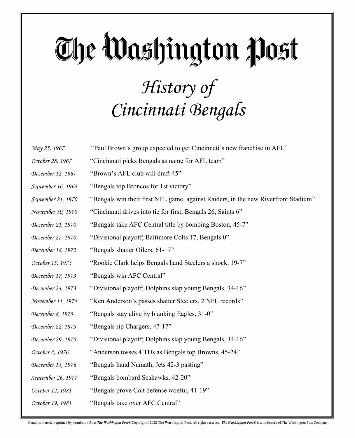#### The Washington Post *History of Cincinnati Bengals*

*May 25, 1967* "Paul Brown's group expected to get Cincinnati's new franchise in AFL" *October 28, 1967* "Cincinnati picks Bengals as name for AFL team" *December 12, 1967* "Brown's AFL club will draft 45" *September 16, 1968* "Bengals top Broncos for 1st victory" *September 21, 1970* "Bengals win their first NFL game, against Raiders, in the new Riverfront Stadium" *November 30, 1970* "Cincinnati drives into tie for first; Bengals 26, Saints 6" *December 21, 1970* "Bengals take AFC Central title by bombing Boston, 45-7" *December 27, 1970* "Divisional playoff; Baltimore Colts 17, Bengals 0" *December 18, 1972* "Bengals shatter Oilers, 61-17" *October 15, 1973* "Rookie Clark helps Bengals hand Steelers a shock, 19-7" *December 17, 1973* "Bengals win AFC Central" *December 24, 1973* "Divisional playoff; Dolphins slap young Bengals, 34-16" *November 11, 1974* "Ken Anderson's passes shatter Steelers, 2 NFL records" *December 8, 1975* "Bengals stay alive by blanking Eagles, 31-0" *December 22, 1975* "Bengals rip Chargers, 47-17" *December 29, 1975* "Divisional playoff; Dolphins slap young Bengals, 34-16" *October 4, 1976* "Anderson tosses 4 TDs as Bengals top Browns, 45-24" *December 13, 1976* "Bengals hand Namath, Jets 42-3 pasting" *September 26, 1977* "Bengals bombard Seahawks, 42-20" *October 12, 1981* "Bengals prove Colt defense woeful, 41-19" *October 19, 1981* "Bengals take over AFC Central"

Contains material reprinted by permission from The Washington Post® Copyright© 2022 The Washington Post. All rights reserved. The Washington Post® is a trademark of The Washington Post Company.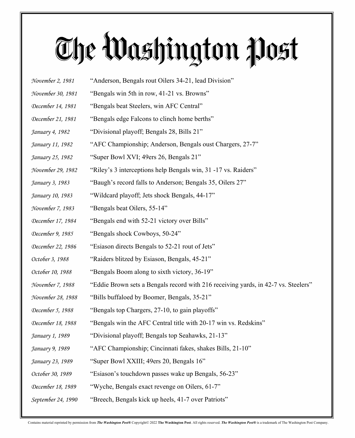- 
- *November 2, 1981* "Anderson, Bengals rout Oilers 34-21, lead Division"
- *November 30, 1981* "Bengals win 5th in row, 41-21 vs. Browns"
- *December 14, 1981* "Bengals beat Steelers, win AFC Central"
- *December 21, 1981* "Bengals edge Falcons to clinch home berths"
- *January 4, 1982* "Divisional playoff; Bengals 28, Bills 21"
- *January 11, 1982* "AFC Championship; Anderson, Bengals oust Chargers, 27-7"
- *January 25, 1982* "Super Bowl XVI; 49ers 26, Bengals 21"
- *November 29, 1982* "Riley's 3 interceptions help Bengals win, 31 -17 vs. Raiders"
- *January 3, 1983* "Baugh's record falls to Anderson; Bengals 35, Oilers 27"
- *January 10, 1983* "Wildcard playoff; Jets shock Bengals, 44-17"
- *November 7, 1983* "Bengals beat Oilers, 55-14"
- *December 17, 1984* "Bengals end with 52-21 victory over Bills"
- *December 9, 1985* "Bengals shock Cowboys, 50-24"
- *December 22, 1986* "Esiason directs Bengals to 52-21 rout of Jets"
- *October 3, 1988* "Raiders blitzed by Esiason, Bengals, 45-21"
- *October 10, 1988* "Bengals Boom along to sixth victory, 36-19"
- *November 7, 1988* "Eddie Brown sets a Bengals record with 216 receiving yards, in 42-7 vs. Steelers"
- *November 28, 1988* "Bills buffaloed by Boomer, Bengals, 35-21"
- *December 5, 1988* "Bengals top Chargers, 27-10, to gain playoffs"
- *December 18, 1988* "Bengals win the AFC Central title with 20-17 win vs. Redskins"
- *January 1, 1989* "Divisional playoff; Bengals top Seahawks, 21-13"
- *January 9, 1989* "AFC Championship; Cincinnati fakes, shakes Bills, 21-10"
- *January 23, 1989* "Super Bowl XXIII; 49ers 20, Bengals 16"
- *October 30, 1989* "Esiason's touchdown passes wake up Bengals, 56-23"
- *December 18, 1989* "Wyche, Bengals exact revenge on Oilers, 61-7"
- *September 24, 1990* "Breech, Bengals kick up heels, 41-7 over Patriots"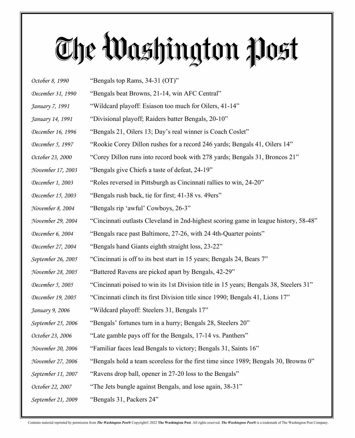*October 8, 1990* "Bengals top Rams, 34-31 (OT)" *December 31, 1990* "Bengals beat Browns, 21-14, win AFC Central" *January 7, 1991* "Wildcard playoff: Esiason too much for Oilers, 41-14" *January 14, 1991* "Divisional playoff; Raiders batter Bengals, 20-10" *December 16, 1996* "Bengals 21, Oilers 13; Day's real winner is Coach Coslet" *December 5, 1997* "Rookie Corey Dillon rushes for a record 246 yards; Bengals 41, Oilers 14" *October 23, 2000* "Corey Dillon runs into record book with 278 yards; Bengals 31, Broncos 21" *November 17, 2003* "Bengals give Chiefs a taste of defeat, 24-19" *December 1, 2003* "Roles reversed in Pittsburgh as Cincinnati rallies to win, 24-20" *December 15, 2003* "Bengals rush back, tie for first; 41-38 vs. 49ers" *November 8, 2004* "Bengals rip 'awful' Cowboys, 26-3" *November 29, 2004* "Cincinnati outlasts Cleveland in 2nd-highest scoring game in league history, 58-48" *December 6, 2004* "Bengals race past Baltimore, 27-26, with 24 4th-Quarter points" *December 27, 2004* "Bengals hand Giants eighth straight loss, 23-22" *September 26, 2005* "Cincinnati is off to its best start in 15 years; Bengals 24, Bears 7" *November 28, 2005* "Battered Ravens are picked apart by Bengals, 42-29" *December 5, 2005* "Cincinnati poised to win its 1st Division title in 15 years; Bengals 38, Steelers 31" *December 19, 2005* "Cincinnati clinch its first Division title since 1990; Bengals 41, Lions 17" *January 9, 2006* "Wildcard playoff: Steelers 31, Bengals 17" *September 25, 2006* "Bengals' fortunes turn in a hurry; Bengals 28, Steelers 20" *October 23, 2006* "Late gamble pays off for the Bengals, 17-14 vs. Panthers" *November 20, 2006* "Familiar faces lead Bengals to victory; Bengals 31, Saints 16" *November 27, 2006* "Bengals hold a team scoreless for the first time since 1989; Bengals 30, Browns 0" *September 11, 2007* "Ravens drop ball, opener in 27-20 loss to the Bengals" *October 22, 2007* "The Jets bungle against Bengals, and lose again, 38-31" *September 21, 2009* "Bengals 31, Packers 24"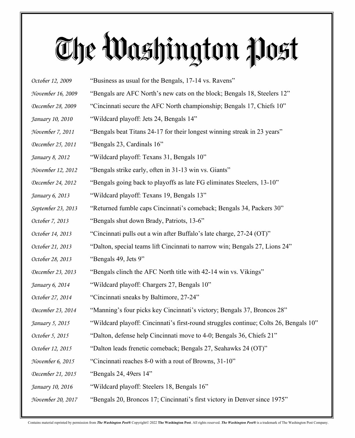| October 12, 2009   | "Business as usual for the Bengals, 17-14 vs. Ravens"                                 |
|--------------------|---------------------------------------------------------------------------------------|
| November 16, 2009  | "Bengals are AFC North's new cats on the block; Bengals 18, Steelers 12"              |
| December 28, 2009  | "Cincinnati secure the AFC North championship; Bengals 17, Chiefs 10"                 |
| January 10, 2010   | "Wildcard playoff: Jets 24, Bengals 14"                                               |
| November 7, 2011   | "Bengals beat Titans 24-17 for their longest winning streak in 23 years"              |
| December 25, 2011  | "Bengals 23, Cardinals 16"                                                            |
| January 8, 2012    | "Wildcard playoff: Texans 31, Bengals 10"                                             |
| November 12, 2012  | "Bengals strike early, often in 31-13 win vs. Giants"                                 |
| December 24, 2012  | "Bengals going back to playoffs as late FG eliminates Steelers, 13-10"                |
| January 6, 2013    | "Wildcard playoff: Texans 19, Bengals 13"                                             |
| September 23, 2013 | "Returned fumble caps Cincinnati's comeback; Bengals 34, Packers 30"                  |
| October 7, 2013    | "Bengals shut down Brady, Patriots, 13-6"                                             |
| October 14, 2013   | "Cincinnati pulls out a win after Buffalo's late charge, 27-24 (OT)"                  |
| October 21, 2013   | "Dalton, special teams lift Cincinnati to narrow win; Bengals 27, Lions 24"           |
| October 28, 2013   | "Bengals 49, Jets 9"                                                                  |
| December 23, 2013  | "Bengals clinch the AFC North title with 42-14 win vs. Vikings"                       |
| January 6, 2014    | "Wildcard playoff: Chargers 27, Bengals 10"                                           |
| October 27, 2014   | "Cincinnati sneaks by Baltimore, 27-24"                                               |
| December 23, 2014  | "Manning's four picks key Cincinnati's victory; Bengals 37, Broncos 28"               |
| January 5, 2015    | "Wildcard playoff: Cincinnati's first-round struggles continue; Colts 26, Bengals 10" |
| October 5, 2015    | "Dalton, defense help Cincinnati move to 4-0; Bengals 36, Chiefs 21"                  |
| October 12, 2015   | "Dalton leads frenetic comeback; Bengals 27, Seahawks 24 (OT)"                        |
| November 6, 2015   | "Cincinnati reaches 8-0 with a rout of Browns, 31-10"                                 |
| December 21, 2015  | "Bengals 24, 49ers $14"$                                                              |
| January 10, 2016   | "Wildcard playoff: Steelers 18, Bengals 16"                                           |
| November 20, 2017  | "Bengals 20, Broncos 17; Cincinnati's first victory in Denver since 1975"             |
|                    |                                                                                       |